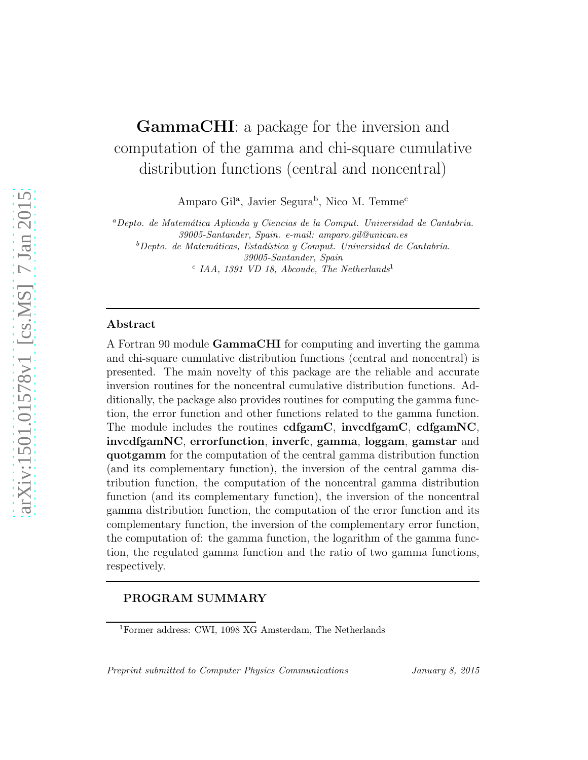# GammaCHI: a package for the inversion and computation of the gamma and chi-square cumulative distribution functions (central and noncentral)

Amparo Gil<sup>a</sup>, Javier Segura<sup>b</sup>, Nico M. Temme<sup>c</sup>

<sup>a</sup>*Depto. de Matem´atica Aplicada y Ciencias de la Comput. Universidad de Cantabria. 39005-Santander, Spain. e-mail: amparo.gil@unican.es*

<sup>b</sup>*Depto. de Matem´aticas, Estad´ıstica y Comput. Universidad de Cantabria. 39005-Santander, Spain* c *IAA, 1391 VD 18, Abcoude, The Netherlands*<sup>1</sup>

#### Abstract

A Fortran 90 module GammaCHI for computing and inverting the gamma and chi-square cumulative distribution functions (central and noncentral) is presented. The main novelty of this package are the reliable and accurate inversion routines for the noncentral cumulative distribution functions. Additionally, the package also provides routines for computing the gamma function, the error function and other functions related to the gamma function. The module includes the routines cdfgamC, invcdfgamC, cdfgamNC, invcdfgamNC, errorfunction, inverfc, gamma, loggam, gamstar and quotgamm for the computation of the central gamma distribution function (and its complementary function), the inversion of the central gamma distribution function, the computation of the noncentral gamma distribution function (and its complementary function), the inversion of the noncentral gamma distribution function, the computation of the error function and its complementary function, the inversion of the complementary error function, the computation of: the gamma function, the logarithm of the gamma function, the regulated gamma function and the ratio of two gamma functions, respectively.

# PROGRAM SUMMARY

*Preprint submitted to Computer Physics Communications January 8, 2015*

<sup>1</sup>Former address: CWI, 1098 XG Amsterdam, The Netherlands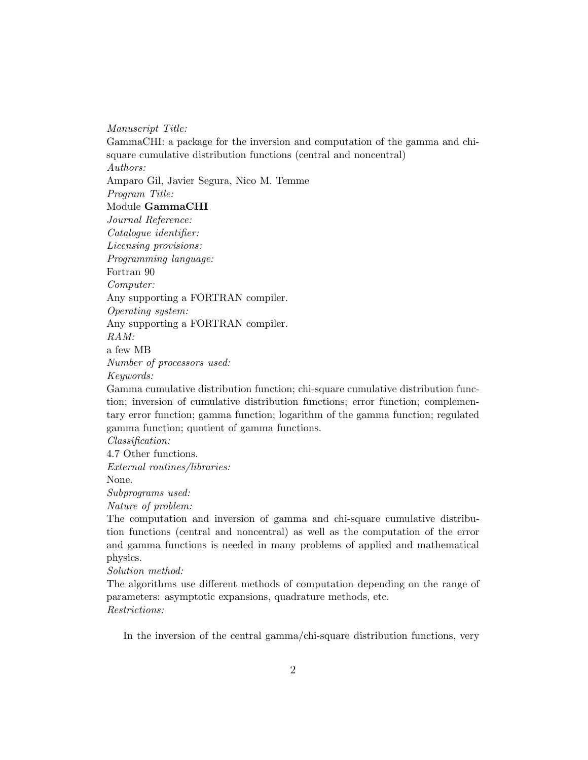*Manuscript Title:*

GammaCHI: a package for the inversion and computation of the gamma and chisquare cumulative distribution functions (central and noncentral) *Authors:* Amparo Gil, Javier Segura, Nico M. Temme *Program Title:* Module GammaCHI *Journal Reference: Catalogue identifier: Licensing provisions: Programming language:* Fortran 90 *Computer:* Any supporting a FORTRAN compiler. *Operating system:* Any supporting a FORTRAN compiler. *RAM:* a few MB *Number of processors used: Keywords:* Gamma cumulative distribution function; chi-square cumulative distribution function; inversion of cumulative distribution functions; error function; complementary error function; gamma function; logarithm of the gamma function; regulated gamma function; quotient of gamma functions.

*Classification:*

4.7 Other functions.

*External routines/libraries:*

None.

*Subprograms used:*

*Nature of problem:*

The computation and inversion of gamma and chi-square cumulative distribution functions (central and noncentral) as well as the computation of the error and gamma functions is needed in many problems of applied and mathematical physics.

*Solution method:*

The algorithms use different methods of computation depending on the range of parameters: asymptotic expansions, quadrature methods, etc. *Restrictions:*

In the inversion of the central gamma/chi-square distribution functions, very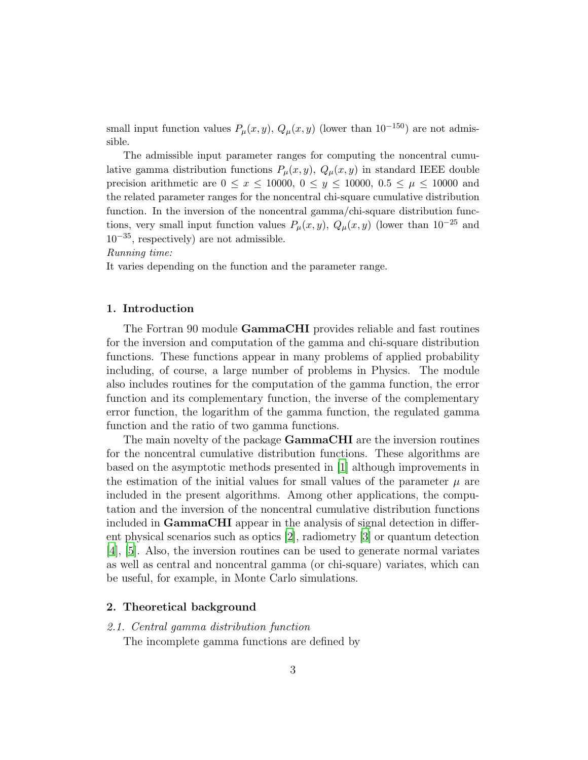small input function values  $P_{\mu}(x, y), Q_{\mu}(x, y)$  (lower than  $10^{-150}$ ) are not admissible.

The admissible input parameter ranges for computing the noncentral cumulative gamma distribution functions  $P_{\mu}(x, y), Q_{\mu}(x, y)$  in standard IEEE double precision arithmetic are  $0 \le x \le 10000$ ,  $0 \le y \le 10000$ ,  $0.5 \le \mu \le 10000$  and the related parameter ranges for the noncentral chi-square cumulative distribution function. In the inversion of the noncentral gamma/chi-square distribution functions, very small input function values  $P_{\mu}(x, y), Q_{\mu}(x, y)$  (lower than  $10^{-25}$  and 10−35, respectively) are not admissible.

*Running time:*

It varies depending on the function and the parameter range.

## 1. Introduction

The Fortran 90 module GammaCHI provides reliable and fast routines for the inversion and computation of the gamma and chi-square distribution functions. These functions appear in many problems of applied probability including, of course, a large number of problems in Physics. The module also includes routines for the computation of the gamma function, the error function and its complementary function, the inverse of the complementary error function, the logarithm of the gamma function, the regulated gamma function and the ratio of two gamma functions.

The main novelty of the package **GammaCHI** are the inversion routines for the noncentral cumulative distribution functions. These algorithms are based on the asymptotic methods presented in [\[1\]](#page-21-0) although improvements in the estimation of the initial values for small values of the parameter  $\mu$  are included in the present algorithms. Among other applications, the computation and the inversion of the noncentral cumulative distribution functions included in GammaCHI appear in the analysis of signal detection in different physical scenarios such as optics [\[2](#page-21-1)], radiometry [\[3\]](#page-21-2) or quantum detection [\[4\]](#page-21-3), [\[5](#page-21-4)]. Also, the inversion routines can be used to generate normal variates as well as central and noncentral gamma (or chi-square) variates, which can be useful, for example, in Monte Carlo simulations.

#### 2. Theoretical background

## 2.1. Central gamma distribution function

The incomplete gamma functions are defined by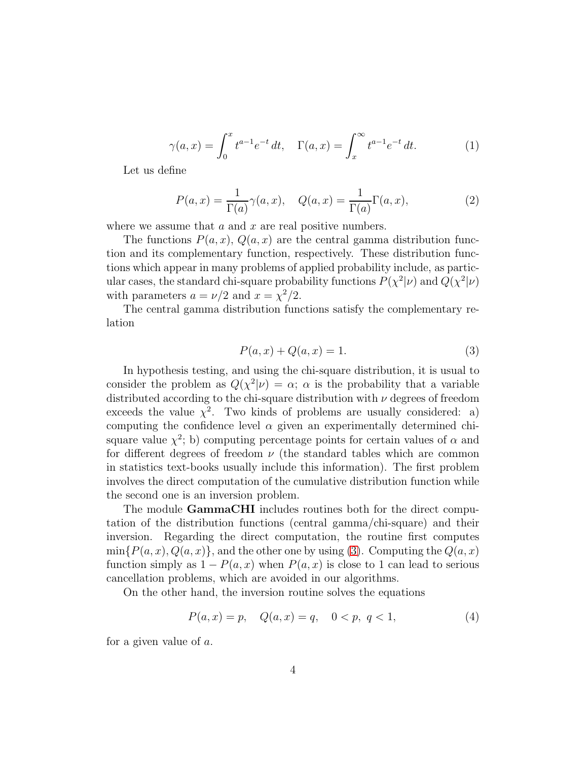$$
\gamma(a,x) = \int_0^x t^{a-1} e^{-t} dt, \quad \Gamma(a,x) = \int_x^\infty t^{a-1} e^{-t} dt.
$$
 (1)

Let us define

<span id="page-3-2"></span>
$$
P(a,x) = \frac{1}{\Gamma(a)}\gamma(a,x), \quad Q(a,x) = \frac{1}{\Gamma(a)}\Gamma(a,x),\tag{2}
$$

where we assume that  $a$  and  $x$  are real positive numbers.

The functions  $P(a, x)$ ,  $Q(a, x)$  are the central gamma distribution function and its complementary function, respectively. These distribution functions which appear in many problems of applied probability include, as particular cases, the standard chi-square probability functions  $P(\chi^2|\nu)$  and  $Q(\chi^2|\nu)$ with parameters  $a = \nu/2$  and  $x = \chi^2/2$ .

The central gamma distribution functions satisfy the complementary relation

<span id="page-3-0"></span>
$$
P(a, x) + Q(a, x) = 1.
$$
 (3)

In hypothesis testing, and using the chi-square distribution, it is usual to consider the problem as  $Q(\chi^2|\nu) = \alpha$ ;  $\alpha$  is the probability that a variable distributed according to the chi-square distribution with  $\nu$  degrees of freedom exceeds the value  $\chi^2$ . Two kinds of problems are usually considered: a) computing the confidence level  $\alpha$  given an experimentally determined chisquare value  $\chi^2$ ; b) computing percentage points for certain values of  $\alpha$  and for different degrees of freedom  $\nu$  (the standard tables which are common in statistics text-books usually include this information). The first problem involves the direct computation of the cumulative distribution function while the second one is an inversion problem.

The module **GammaCHI** includes routines both for the direct computation of the distribution functions (central gamma/chi-square) and their inversion. Regarding the direct computation, the routine first computes  $\min\{P(a,x), Q(a,x)\}\$ , and the other one by using [\(3\)](#page-3-0). Computing the  $Q(a,x)$ function simply as  $1 - P(a, x)$  when  $P(a, x)$  is close to 1 can lead to serious cancellation problems, which are avoided in our algorithms.

On the other hand, the inversion routine solves the equations

<span id="page-3-1"></span>
$$
P(a,x) = p, \quad Q(a,x) = q, \quad 0 < p, \ q < 1,\tag{4}
$$

for a given value of a.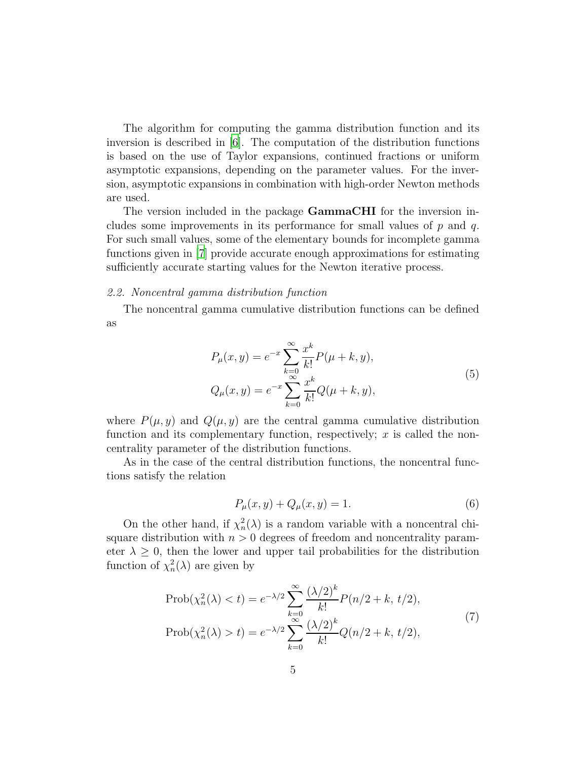The algorithm for computing the gamma distribution function and its inversion is described in  $[6]$ . The computation of the distribution functions is based on the use of Taylor expansions, continued fractions or uniform asymptotic expansions, depending on the parameter values. For the inversion, asymptotic expansions in combination with high-order Newton methods are used.

The version included in the package GammaCHI for the inversion includes some improvements in its performance for small values of  $p$  and  $q$ . For such small values, some of the elementary bounds for incomplete gamma functions given in [\[7\]](#page-22-1) provide accurate enough approximations for estimating sufficiently accurate starting values for the Newton iterative process.

#### 2.2. Noncentral gamma distribution function

The noncentral gamma cumulative distribution functions can be defined as

<span id="page-4-0"></span>
$$
P_{\mu}(x, y) = e^{-x} \sum_{k=0}^{\infty} \frac{x^{k}}{k!} P(\mu + k, y),
$$
  
\n
$$
Q_{\mu}(x, y) = e^{-x} \sum_{k=0}^{\infty} \frac{x^{k}}{k!} Q(\mu + k, y),
$$
\n(5)

where  $P(\mu, y)$  and  $Q(\mu, y)$  are the central gamma cumulative distribution function and its complementary function, respectively;  $x$  is called the noncentrality parameter of the distribution functions.

As in the case of the central distribution functions, the noncentral functions satisfy the relation

$$
P_{\mu}(x, y) + Q_{\mu}(x, y) = 1.
$$
 (6)

On the other hand, if  $\chi_n^2(\lambda)$  is a random variable with a noncentral chisquare distribution with  $n > 0$  degrees of freedom and noncentrality parameter  $\lambda \geq 0$ , then the lower and upper tail probabilities for the distribution function of  $\chi_n^2(\lambda)$  are given by

$$
\text{Prob}(\chi_n^2(\lambda) < t) = e^{-\lambda/2} \sum_{k=0}^{\infty} \frac{(\lambda/2)^k}{k!} P(n/2 + k, t/2),
$$
\n
$$
\text{Prob}(\chi_n^2(\lambda) > t) = e^{-\lambda/2} \sum_{k=0}^{\infty} \frac{(\lambda/2)^k}{k!} Q(n/2 + k, t/2),
$$
\n
$$
(7)
$$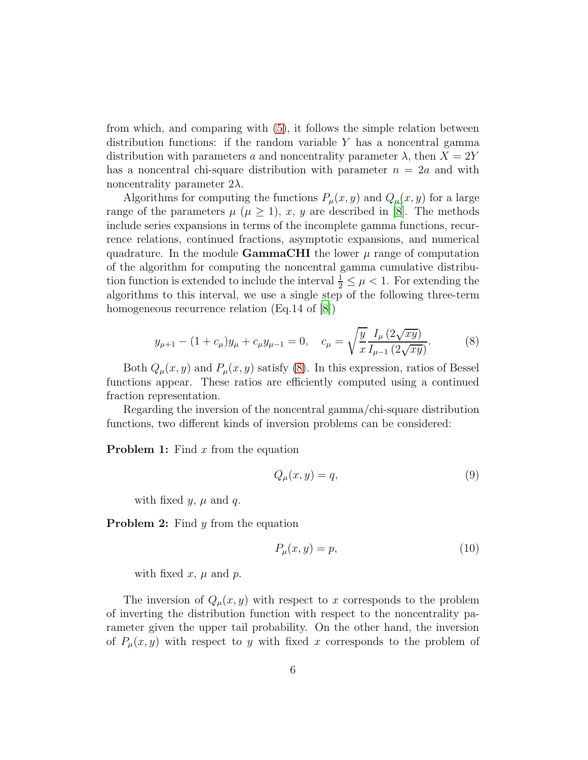from which, and comparing with [\(5\)](#page-4-0), it follows the simple relation between distribution functions: if the random variable  $Y$  has a noncentral gamma distribution with parameters a and noncentrality parameter  $\lambda$ , then  $X = 2Y$ has a noncentral chi-square distribution with parameter  $n = 2a$  and with noncentrality parameter  $2\lambda$ .

Algorithms for computing the functions  $P_\mu(x, y)$  and  $Q_\mu(x, y)$  for a large range of the parameters  $\mu$  ( $\mu \geq 1$ ), x, y are described in [\[8](#page-22-2)]. The methods include series expansions in terms of the incomplete gamma functions, recurrence relations, continued fractions, asymptotic expansions, and numerical quadrature. In the module **GammaCHI** the lower  $\mu$  range of computation of the algorithm for computing the noncentral gamma cumulative distribution function is extended to include the interval  $\frac{1}{2} \leq \mu < 1$ . For extending the algorithms to this interval, we use a single step of the following three-term homogeneous recurrence relation (Eq.14 of  $|8|$ )

<span id="page-5-0"></span>
$$
y_{\mu+1} - (1 + c_{\mu})y_{\mu} + c_{\mu}y_{\mu-1} = 0, \quad c_{\mu} = \sqrt{\frac{y}{x} \frac{I_{\mu}(2\sqrt{xy})}{I_{\mu-1}(2\sqrt{xy})}}.
$$
 (8)

Both  $Q_{\mu}(x, y)$  and  $P_{\mu}(x, y)$  satisfy [\(8\)](#page-5-0). In this expression, ratios of Bessel functions appear. These ratios are efficiently computed using a continued fraction representation.

Regarding the inversion of the noncentral gamma/chi-square distribution functions, two different kinds of inversion problems can be considered:

**Problem 1:** Find  $x$  from the equation

$$
Q_{\mu}(x,y) = q,\t\t(9)
$$

with fixed  $y, \mu$  and  $q$ .

**Problem 2:** Find  $y$  from the equation

$$
P_{\mu}(x,y) = p,\tag{10}
$$

with fixed  $x, \mu$  and  $p$ .

The inversion of  $Q_{\mu}(x, y)$  with respect to x corresponds to the problem of inverting the distribution function with respect to the noncentrality parameter given the upper tail probability. On the other hand, the inversion of  $P_{\mu}(x, y)$  with respect to y with fixed x corresponds to the problem of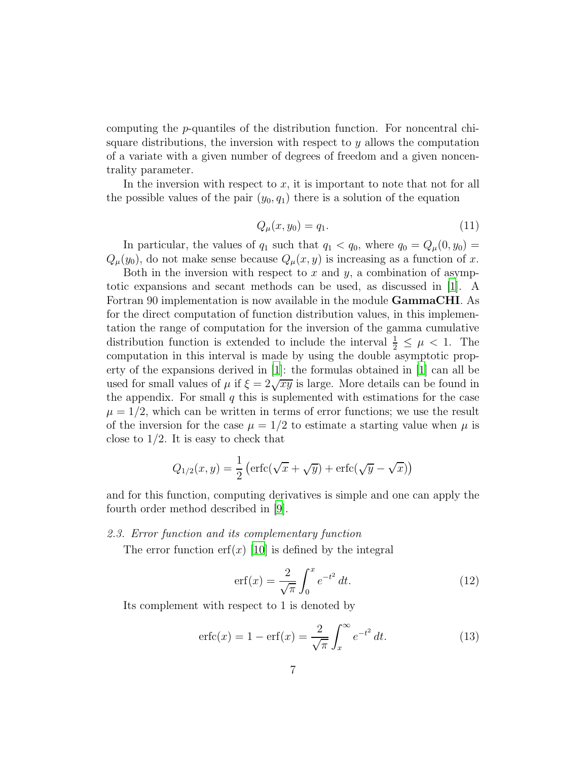computing the p-quantiles of the distribution function. For noncentral chisquare distributions, the inversion with respect to  $y$  allows the computation of a variate with a given number of degrees of freedom and a given noncentrality parameter.

In the inversion with respect to  $x$ , it is important to note that not for all the possible values of the pair  $(y_0, q_1)$  there is a solution of the equation

$$
Q_{\mu}(x, y_0) = q_1. \tag{11}
$$

In particular, the values of  $q_1$  such that  $q_1 < q_0$ , where  $q_0 = Q_\mu(0, y_0) =$  $Q_{\mu}(y_0)$ , do not make sense because  $Q_{\mu}(x, y)$  is increasing as a function of x.

Both in the inversion with respect to  $x$  and  $y$ , a combination of asymptotic expansions and secant methods can be used, as discussed in [\[1\]](#page-21-0). A Fortran 90 implementation is now available in the module GammaCHI. As for the direct computation of function distribution values, in this implementation the range of computation for the inversion of the gamma cumulative distribution function is extended to include the interval  $\frac{1}{2} \leq \mu < 1$ . The computation in this interval is made by using the double asymptotic property of the expansions derived in [\[1\]](#page-21-0): the formulas obtained in [\[1](#page-21-0)] can all be used for small values of  $\mu$  if  $\xi = 2\sqrt{xy}$  is large. More details can be found in the appendix. For small  $q$  this is suplemented with estimations for the case  $\mu = 1/2$ , which can be written in terms of error functions; we use the result of the inversion for the case  $\mu = 1/2$  to estimate a starting value when  $\mu$  is close to  $1/2$ . It is easy to check that

$$
Q_{1/2}(x,y) = \frac{1}{2} \left( \operatorname{erfc}(\sqrt{x} + \sqrt{y}) + \operatorname{erfc}(\sqrt{y} - \sqrt{x}) \right)
$$

and for this function, computing derivatives is simple and one can apply the fourth order method described in [\[9\]](#page-22-3).

#### 2.3. Error function and its complementary function

The error function erf $(x)$  [\[10\]](#page-22-4) is defined by the integral

$$
\text{erf}(x) = \frac{2}{\sqrt{\pi}} \int_0^x e^{-t^2} dt. \tag{12}
$$

Its complement with respect to 1 is denoted by

$$
\operatorname{erfc}(x) = 1 - \operatorname{erf}(x) = \frac{2}{\sqrt{\pi}} \int_x^{\infty} e^{-t^2} dt.
$$
 (13)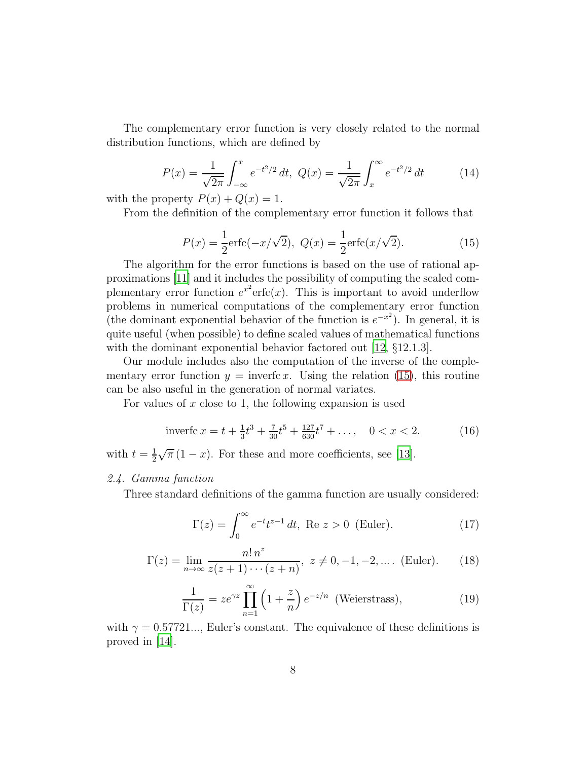The complementary error function is very closely related to the normal distribution functions, which are defined by

<span id="page-7-2"></span>
$$
P(x) = \frac{1}{\sqrt{2\pi}} \int_{-\infty}^{x} e^{-t^2/2} dt, \ Q(x) = \frac{1}{\sqrt{2\pi}} \int_{x}^{\infty} e^{-t^2/2} dt \tag{14}
$$

with the property  $P(x) + Q(x) = 1$ .

From the definition of the complementary error function it follows that

<span id="page-7-0"></span>
$$
P(x) = \frac{1}{2}\text{erfc}(-x/\sqrt{2}), \ Q(x) = \frac{1}{2}\text{erfc}(x/\sqrt{2}).
$$
 (15)

The algorithm for the error functions is based on the use of rational approximations [\[11](#page-22-5)] and it includes the possibility of computing the scaled complementary error function  $e^{x^2}$ erfc(x). This is important to avoid underflow problems in numerical computations of the complementary error function (the dominant exponential behavior of the function is  $e^{-x^2}$ ). In general, it is quite useful (when possible) to define scaled values of mathematical functions with the dominant exponential behavior factored out [\[12,](#page-22-6)  $\S 12.1.3$ ].

Our module includes also the computation of the inverse of the complementary error function  $y = \text{invert}_{x}$ . Using the relation [\(15\)](#page-7-0), this routine can be also useful in the generation of normal variates.

For values of  $x$  close to 1, the following expansion is used

$$
\text{invert}c\,x = t + \frac{1}{3}t^3 + \frac{7}{30}t^5 + \frac{127}{630}t^7 + \dots, \quad 0 < x < 2. \tag{16}
$$

with  $t=\frac{1}{2}$ 2  $\sqrt{\pi}(1-x)$ . For these and more coefficients, see [\[13](#page-22-7)].

#### 2.4. Gamma function

Three standard definitions of the gamma function are usually considered:

$$
\Gamma(z) = \int_0^\infty e^{-t} t^{z-1} dt, \text{ Re } z > 0 \text{ (Euler).}
$$
 (17)

$$
\Gamma(z) = \lim_{n \to \infty} \frac{n! \, n^z}{z(z+1) \cdots (z+n)}, \ z \neq 0, -1, -2, \dots. \text{ (Euler).} \tag{18}
$$

<span id="page-7-1"></span>
$$
\frac{1}{\Gamma(z)} = ze^{\gamma z} \prod_{n=1}^{\infty} \left(1 + \frac{z}{n}\right) e^{-z/n} \text{ (Weierstrass)},\tag{19}
$$

with  $\gamma = 0.57721...$ , Euler's constant. The equivalence of these definitions is proved in [\[14\]](#page-22-8).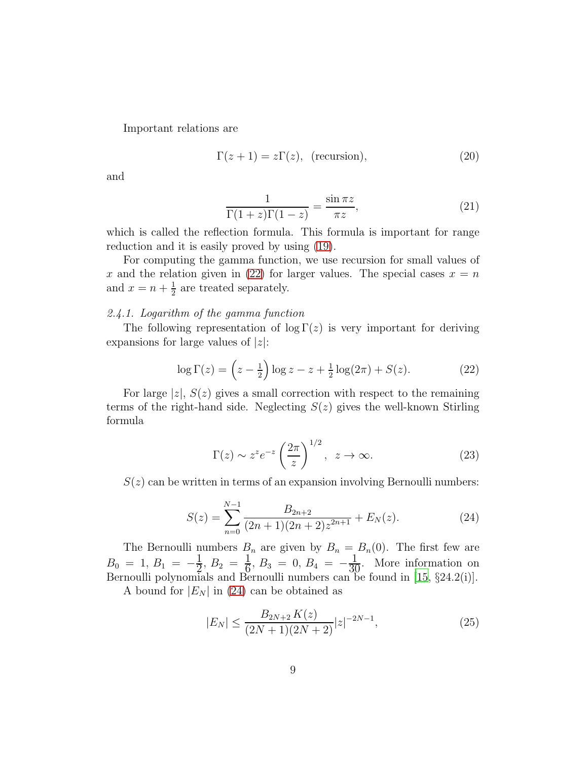Important relations are

$$
\Gamma(z+1) = z\Gamma(z), \text{ (recursion)}, \tag{20}
$$

and

$$
\frac{1}{\Gamma(1+z)\Gamma(1-z)} = \frac{\sin \pi z}{\pi z},\tag{21}
$$

which is called the reflection formula. This formula is important for range reduction and it is easily proved by using [\(19\)](#page-7-1).

For computing the gamma function, we use recursion for small values of x and the relation given in [\(22\)](#page-8-0) for larger values. The special cases  $x = n$ and  $x = n + \frac{1}{2}$  $\frac{1}{2}$  are treated separately.

#### 2.4.1. Logarithm of the gamma function

The following representation of  $\log \Gamma(z)$  is very important for deriving expansions for large values of  $|z|$ :

<span id="page-8-0"></span>
$$
\log \Gamma(z) = \left(z - \frac{1}{2}\right) \log z - z + \frac{1}{2} \log(2\pi) + S(z). \tag{22}
$$

For large  $|z|$ ,  $S(z)$  gives a small correction with respect to the remaining terms of the right-hand side. Neglecting  $S(z)$  gives the well-known Stirling formula

$$
\Gamma(z) \sim z^z e^{-z} \left(\frac{2\pi}{z}\right)^{1/2}, \ z \to \infty.
$$
 (23)

 $S(z)$  can be written in terms of an expansion involving Bernoulli numbers:

<span id="page-8-1"></span>
$$
S(z) = \sum_{n=0}^{N-1} \frac{B_{2n+2}}{(2n+1)(2n+2)z^{2n+1}} + E_N(z).
$$
 (24)

The Bernoulli numbers  $B_n$  are given by  $B_n = B_n(0)$ . The first few are  $B_0 = 1, B_1 = -\frac{1}{2}$  $\frac{1}{2}, B_2 = \frac{1}{6}$  $\frac{1}{6}$ ,  $B_3 = 0$ ,  $B_4 = -\frac{1}{30}$ . More information on Bernoulli polynomials and Bernoulli numbers can be found in [\[15,](#page-22-9) §24.2(i)].

A bound for  $|E_N|$  in [\(24\)](#page-8-1) can be obtained as

<span id="page-8-2"></span>
$$
|E_N| \le \frac{B_{2N+2} K(z)}{(2N+1)(2N+2)} |z|^{-2N-1},\tag{25}
$$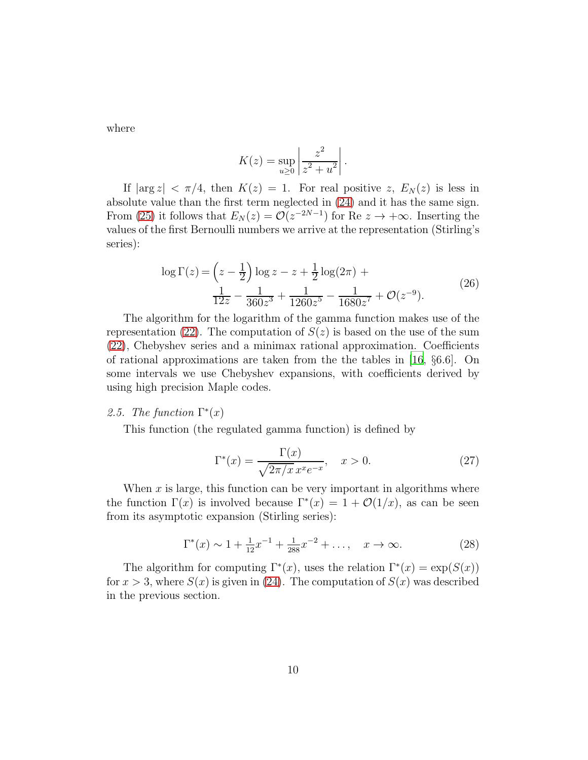where

$$
K(z) = \sup_{u \ge 0} \left| \frac{z^2}{z^2 + u^2} \right|.
$$

If  $|\arg z| < \pi/4$ , then  $K(z) = 1$ . For real positive z,  $E_N(z)$  is less in absolute value than the first term neglected in [\(24\)](#page-8-1) and it has the same sign. From [\(25\)](#page-8-2) it follows that  $E_N(z) = \mathcal{O}(z^{-2N-1})$  for Re  $z \to +\infty$ . Inserting the values of the first Bernoulli numbers we arrive at the representation (Stirling's series):

$$
\log \Gamma(z) = \left(z - \frac{1}{2}\right) \log z - z + \frac{1}{2} \log(2\pi) + \frac{1}{12z} - \frac{1}{360z^3} + \frac{1}{1260z^5} - \frac{1}{1680z^7} + \mathcal{O}(z^{-9}).
$$
\n(26)

The algorithm for the logarithm of the gamma function makes use of the representation [\(22\)](#page-8-0). The computation of  $S(z)$  is based on the use of the sum [\(22\)](#page-8-0), Chebyshev series and a minimax rational approximation. Coefficients of rational approximations are taken from the the tables in [\[16,](#page-22-10) §6.6]. On some intervals we use Chebyshev expansions, with coefficients derived by using high precision Maple codes.

# 2.5. The function  $\Gamma^*(x)$

This function (the regulated gamma function) is defined by

<span id="page-9-0"></span>
$$
\Gamma^*(x) = \frac{\Gamma(x)}{\sqrt{2\pi/x} \, x^x e^{-x}}, \quad x > 0. \tag{27}
$$

When  $x$  is large, this function can be very important in algorithms where the function  $\Gamma(x)$  is involved because  $\Gamma^*(x) = 1 + \mathcal{O}(1/x)$ , as can be seen from its asymptotic expansion (Stirling series):

$$
\Gamma^*(x) \sim 1 + \frac{1}{12}x^{-1} + \frac{1}{288}x^{-2} + \dots, \quad x \to \infty.
$$
 (28)

The algorithm for computing  $\Gamma^*(x)$ , uses the relation  $\Gamma^*(x) = \exp(S(x))$ for  $x > 3$ , where  $S(x)$  is given in [\(24\)](#page-8-1). The computation of  $S(x)$  was described in the previous section.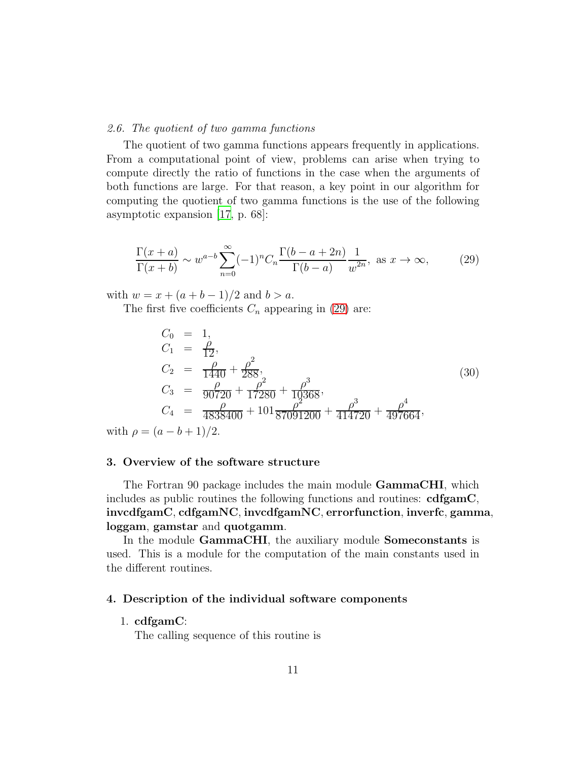#### 2.6. The quotient of two gamma functions

The quotient of two gamma functions appears frequently in applications. From a computational point of view, problems can arise when trying to compute directly the ratio of functions in the case when the arguments of both functions are large. For that reason, a key point in our algorithm for computing the quotient of two gamma functions is the use of the following asymptotic expansion [\[17](#page-22-11), p. 68]:

<span id="page-10-0"></span>
$$
\frac{\Gamma(x+a)}{\Gamma(x+b)} \sim w^{a-b} \sum_{n=0}^{\infty} (-1)^n C_n \frac{\Gamma(b-a+2n)}{\Gamma(b-a)} \frac{1}{w^{2n}}, \text{ as } x \to \infty,
$$
 (29)

with  $w = x + (a + b - 1)/2$  and  $b > a$ .

The first five coefficients  $C_n$  appearing in [\(29\)](#page-10-0) are:

$$
C_0 = 1,
$$
  
\n
$$
C_1 = \frac{\rho}{12},
$$
  
\n
$$
C_2 = \frac{\rho}{1440} + \frac{\rho^2}{288},
$$
  
\n
$$
C_3 = \frac{\rho}{90720} + \frac{\rho^2}{17280} + \frac{\rho^3}{10368},
$$
  
\n
$$
C_4 = \frac{\rho}{4838400} + 101\frac{\rho^2}{87091200} + \frac{\rho^3}{414720} + \frac{\rho^4}{497664},
$$
\n(30)

with  $\rho = (a - b + 1)/2$ .

#### 3. Overview of the software structure

The Fortran 90 package includes the main module **GammaCHI**, which includes as public routines the following functions and routines:  $cdfgamma,$ invcdfgamC, cdfgamNC, invcdfgamNC, errorfunction, inverfc, gamma, loggam, gamstar and quotgamm.

In the module GammaCHI, the auxiliary module Someconstants is used. This is a module for the computation of the main constants used in the different routines.

#### 4. Description of the individual software components

# 1. cdfgamC:

The calling sequence of this routine is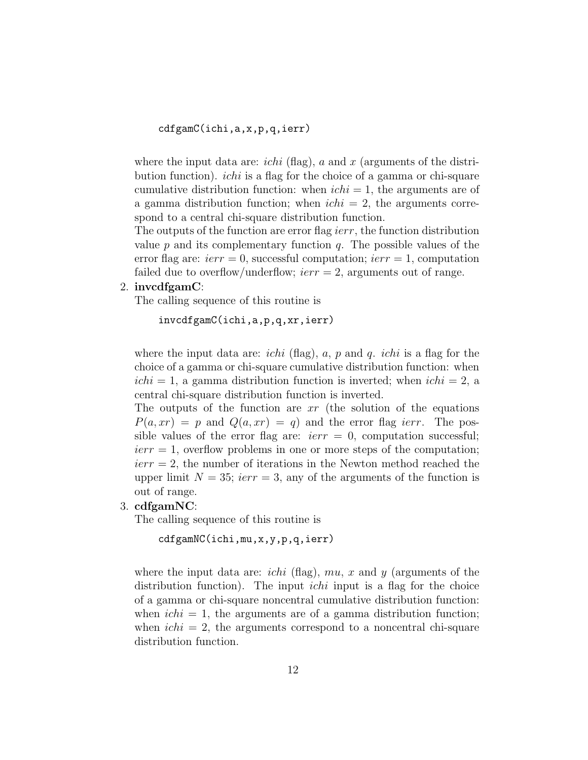cdfgamC(ichi,a,x,p,q,ierr)

where the input data are: *ichi* (flag), a and x (arguments of the distribution function). ichi is a flag for the choice of a gamma or chi-square cumulative distribution function: when  $ichi = 1$ , the arguments are of a gamma distribution function; when  $\text{i}chi = 2$ , the arguments correspond to a central chi-square distribution function.

The outputs of the function are error flag *ierr*, the function distribution value  $p$  and its complementary function  $q$ . The possible values of the error flag are:  $ierr = 0$ , successful computation;  $ierr = 1$ , computation failed due to overflow/underflow;  $ierr = 2$ , arguments out of range.

2. invcdfgamC:

The calling sequence of this routine is

invcdfgamC(ichi,a,p,q,xr,ierr)

where the input data are: *ichi* (flag),  $a$ ,  $p$  and  $q$ . *ichi* is a flag for the choice of a gamma or chi-square cumulative distribution function: when  $\text{i}chi = 1$ , a gamma distribution function is inverted; when  $\text{i}chi = 2$ , a central chi-square distribution function is inverted.

The outputs of the function are  $xr$  (the solution of the equations  $P(a, xr) = p$  and  $Q(a, xr) = q$  and the error flag *ierr*. The possible values of the error flag are:  $ierr = 0$ , computation successful;  $ierr = 1$ , overflow problems in one or more steps of the computation;  $ierr = 2$ , the number of iterations in the Newton method reached the upper limit  $N = 35$ ; ierr = 3, any of the arguments of the function is out of range.

3. cdfgamNC:

The calling sequence of this routine is

cdfgamNC(ichi,mu,x,y,p,q,ierr)

where the input data are: *ichi* (flag),  $mu, x$  and y (arguments of the distribution function). The input *ichi* input is a flag for the choice of a gamma or chi-square noncentral cumulative distribution function: when  $\text{ichi} = 1$ , the arguments are of a gamma distribution function; when  $\text{i} \text{ch} i = 2$ , the arguments correspond to a noncentral chi-square distribution function.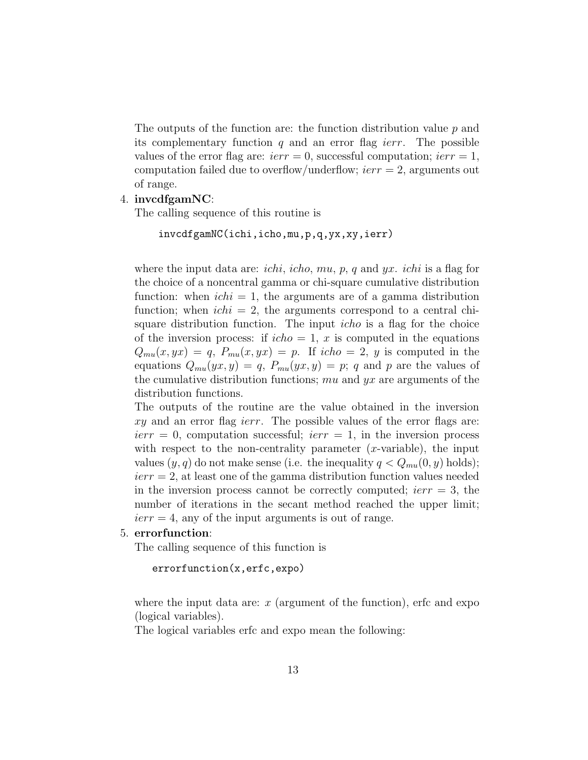The outputs of the function are: the function distribution value  $p$  and its complementary function  $q$  and an error flag *ierr*. The possible values of the error flag are:  $ierr = 0$ , successful computation;  $ierr = 1$ , computation failed due to overflow/underflow;  $ierr = 2$ , arguments out of range.

## 4. invcdfgamNC:

The calling sequence of this routine is

```
invcdfgamNC(ichi,icho,mu,p,q,yx,xy,ierr)
```
where the input data are: *ichi*, *icho*,  $mu$ ,  $p$ ,  $q$  and  $yx$ . *ichi* is a flag for the choice of a noncentral gamma or chi-square cumulative distribution function: when  $\text{i}chi = 1$ , the arguments are of a gamma distribution function; when  $\text{i} \text{c} \text{h} \text{i} = 2$ , the arguments correspond to a central chisquare distribution function. The input icho is a flag for the choice of the inversion process: if  $icho = 1$ , x is computed in the equations  $Q_{mu}(x, yx) = q$ ,  $P_{mu}(x, yx) = p$ . If  $icho = 2$ , y is computed in the equations  $Q_{mu}(yx, y) = q$ ,  $P_{mu}(yx, y) = p$ ; q and p are the values of the cumulative distribution functions; mu and  $yx$  are arguments of the distribution functions.

The outputs of the routine are the value obtained in the inversion xy and an error flag *ierr*. The possible values of the error flags are:  $ierr = 0$ , computation successful;  $ierr = 1$ , in the inversion process with respect to the non-centrality parameter  $(x$ -variable), the input values  $(y, q)$  do not make sense (i.e. the inequality  $q < Q_{mu}(0, y)$  holds);  $ierr = 2$ , at least one of the gamma distribution function values needed in the inversion process cannot be correctly computed;  $ierr = 3$ , the number of iterations in the secant method reached the upper limit;  $ierr = 4$ , any of the input arguments is out of range.

# 5. errorfunction:

The calling sequence of this function is

```
errorfunction(x,erfc,expo)
```
where the input data are:  $x$  (argument of the function), erfc and expo (logical variables).

The logical variables erfc and expo mean the following: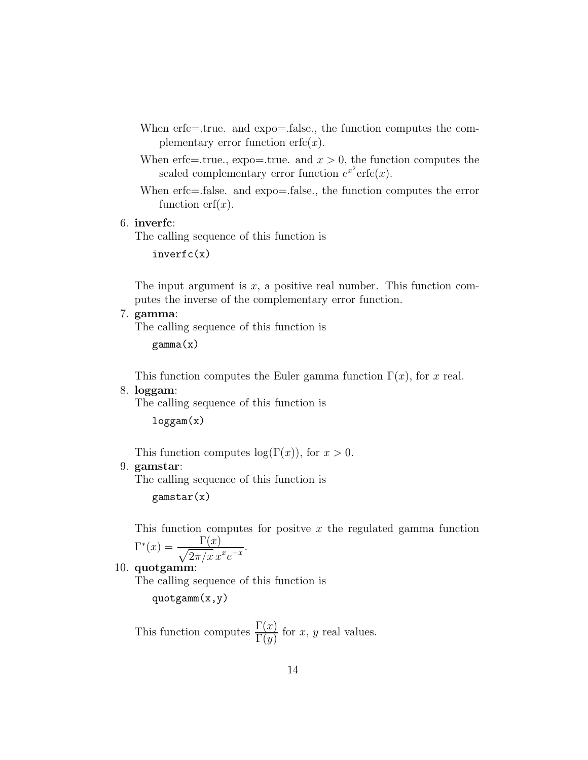- When erfc=.true. and expo=.false., the function computes the complementary error function  $erfc(x)$ .
- When erfc=.true., expo=.true. and  $x > 0$ , the function computes the scaled complementary error function  $e^{x^2}$ erfc $(x)$ .

When erfc=.false. and expo=.false., the function computes the error function  $erf(x)$ .

6. inverfc:

The calling sequence of this function is

inverfc(x)

The input argument is  $x$ , a positive real number. This function computes the inverse of the complementary error function.

# 7. gamma:

The calling sequence of this function is

gamma(x)

This function computes the Euler gamma function  $\Gamma(x)$ , for x real.

# 8. loggam:

The calling sequence of this function is

loggam(x)

This function computes  $log(\Gamma(x))$ , for  $x > 0$ .

#### 9. gamstar:

The calling sequence of this function is

gamstar(x)

This function computes for positive x the regulated gamma function  $\Gamma^*(x) = \frac{\Gamma(x)}{\sqrt{2\pi/x} \, x}$  $\frac{1}{2\pi/x}\frac{x}{e^{-x}}$ .

10. quotgamm:

The calling sequence of this function is

quotgamm(x,y)

This function computes  $\frac{\Gamma(x)}{\Gamma(y)}$  for x, y real values.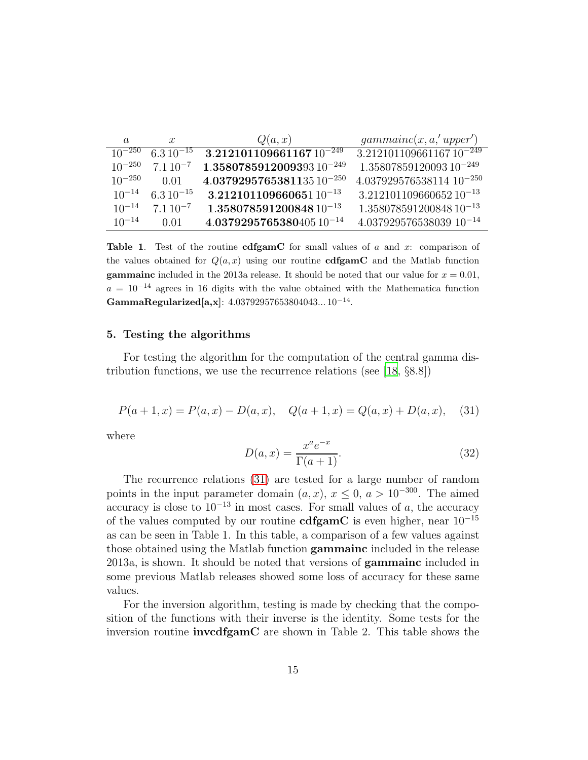| $\alpha$    | $\mathcal{X}$ | Q(a,x)                        | gamma(x, a, 'upper')            |
|-------------|---------------|-------------------------------|---------------------------------|
| $10^{-250}$ | $6.310^{-15}$ | $3.21210110966116710^{-249}$  | $3.21210110966116710^{-249}$    |
| $10^{-250}$ | $7.110^{-7}$  | $1.358078591200939310^{-249}$ | $1.3580785912009310^{-249}$     |
| $10^{-250}$ | 0.01          | $4.037929576538113510^{-250}$ | $4.037929576538114$ $10^{-250}$ |
| $10^{-14}$  | $6.310^{-15}$ | $3.21210110966065110^{-13}$   | $3.21210110966065210^{-13}$     |
| $10^{-14}$  | $7.110^{-7}$  | $1.35807859120084810^{-13}$   | $1.35807859120084810^{-13}$     |
| $10^{-14}$  | 0.01          | $4.037929576538040510^{-14}$  | $4.03792957653803910^{-14}$     |

**Table 1.** Test of the routine **cdfgamC** for small values of a and x: comparison of the values obtained for  $Q(a, x)$  using our routine **cdfgamC** and the Matlab function gammainc included in the 2013a release. It should be noted that our value for  $x = 0.01$ ,  $a = 10^{-14}$  agrees in 16 digits with the value obtained with the Mathematica function GammaRegularized $[a, x]$ : 4.03792957653804043...  $10^{-14}$ .

#### 5. Testing the algorithms

For testing the algorithm for the computation of the central gamma distribution functions, we use the recurrence relations (see [\[18](#page-23-0), §8.8])

<span id="page-14-0"></span>
$$
P(a+1,x) = P(a,x) - D(a,x), \quad Q(a+1,x) = Q(a,x) + D(a,x), \quad (31)
$$

where

$$
D(a,x) = \frac{x^a e^{-x}}{\Gamma(a+1)}.
$$
\n(32)

The recurrence relations [\(31\)](#page-14-0) are tested for a large number of random points in the input parameter domain  $(a, x)$ ,  $x \le 0$ ,  $a > 10^{-300}$ . The aimed accuracy is close to  $10^{-13}$  in most cases. For small values of a, the accuracy of the values computed by our routine **cdfgamC** is even higher, near  $10^{-15}$ as can be seen in Table 1. In this table, a comparison of a few values against those obtained using the Matlab function gammainc included in the release 2013a, is shown. It should be noted that versions of gammainc included in some previous Matlab releases showed some loss of accuracy for these same values.

For the inversion algorithm, testing is made by checking that the composition of the functions with their inverse is the identity. Some tests for the inversion routine invcdfgamC are shown in Table 2. This table shows the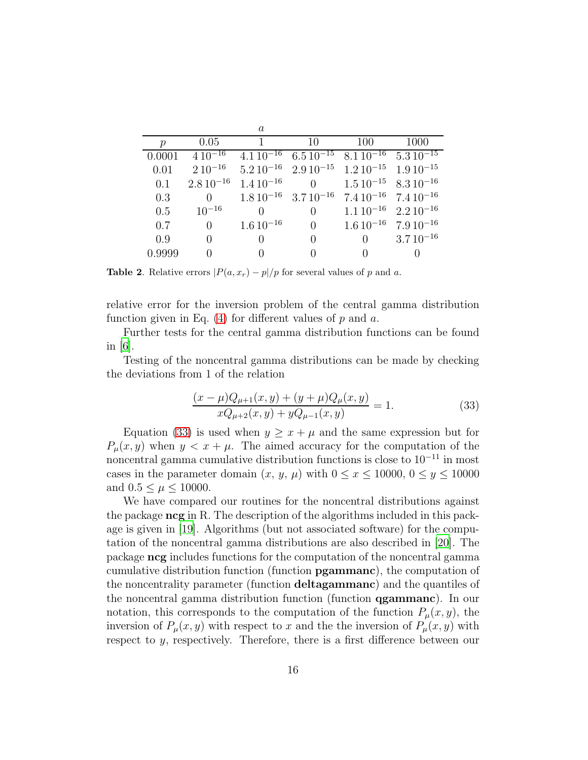|               |                 | $\mathfrak a$   |                  |                                                                 |                                                                 |
|---------------|-----------------|-----------------|------------------|-----------------------------------------------------------------|-----------------------------------------------------------------|
| $\mathcal{D}$ | 0.05            | -1              | 10               | 100                                                             | 1000                                                            |
| 0.0001        | $4\,10^{-16}$   |                 |                  |                                                                 | $4.1\,10^{-16}$ $6.5\,10^{-15}$ $8.1\,10^{-16}$ $5.3\,10^{-15}$ |
| 0.01          | $2.10^{-16}$    |                 |                  | $5.210^{-16}$ $2.910^{-15}$ $1.210^{-15}$ $1.910^{-15}$         |                                                                 |
| 0.1           | $2.8\,10^{-16}$ | $1.4\,10^{-16}$ |                  | 0 $1.5\,10^{-15}$ $8.3\,10^{-16}$                               |                                                                 |
| 0.3           | 0               |                 |                  | $1.8\,10^{-16}$ $3.7\,10^{-16}$ $7.4\,10^{-16}$ $7.4\,10^{-16}$ |                                                                 |
| 0.5           | $10^{-16}$      | 0               | 0                | $1.110^{-16}$ $2.210^{-16}$                                     |                                                                 |
| 0.7           | $\theta$        | $1.6\,10^{-16}$ | $\Omega$         | $1.6\,10^{-16}$ 7.9 $10^{-16}$                                  |                                                                 |
| 0.9           | $\theta$        | $\Omega$        | $\left( \right)$ | $\theta$                                                        | $3.710^{-16}$                                                   |
| 0.9999        |                 |                 | 0                |                                                                 |                                                                 |

**Table 2.** Relative errors  $\left|P(a, x_r) - p\right|/p$  for several values of p and a.

relative error for the inversion problem of the central gamma distribution function given in Eq.  $(4)$  for different values of p and a.

Further tests for the central gamma distribution functions can be found in  $|6|$ .

Testing of the noncentral gamma distributions can be made by checking the deviations from 1 of the relation

<span id="page-15-0"></span>
$$
\frac{(x-\mu)Q_{\mu+1}(x,y)+(y+\mu)Q_{\mu}(x,y)}{xQ_{\mu+2}(x,y)+yQ_{\mu-1}(x,y)} = 1.
$$
\n(33)

Equation [\(33\)](#page-15-0) is used when  $y \geq x + \mu$  and the same expression but for  $P_\mu(x, y)$  when  $y < x + \mu$ . The aimed accuracy for the computation of the noncentral gamma cumulative distribution functions is close to  $10^{-11}$  in most cases in the parameter domain  $(x, y, \mu)$  with  $0 \le x \le 10000$ ,  $0 \le y \le 10000$ and  $0.5 \leq \mu \leq 10000$ .

We have compared our routines for the noncentral distributions against the package ncg in R. The description of the algorithms included in this package is given in [\[19](#page-23-1)]. Algorithms (but not associated software) for the computation of the noncentral gamma distributions are also described in [\[20\]](#page-23-2). The package ncg includes functions for the computation of the noncentral gamma cumulative distribution function (function pgammanc), the computation of the noncentrality parameter (function deltagammanc) and the quantiles of the noncentral gamma distribution function (function qgammanc). In our notation, this corresponds to the computation of the function  $P_\mu(x, y)$ , the inversion of  $P_{\mu}(x, y)$  with respect to x and the the inversion of  $P_{\mu}(x, y)$  with respect to y, respectively. Therefore, there is a first difference between our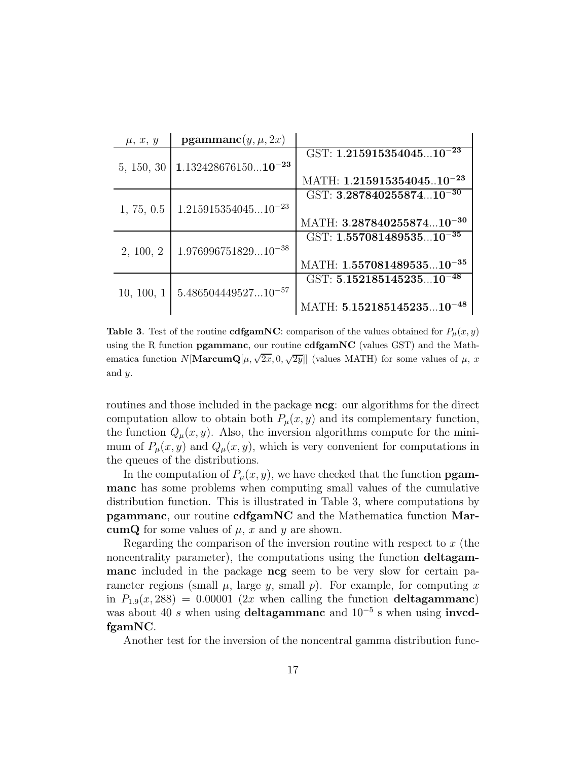| $\mu, x, y$ | $\mathbf{pgammanc}(y, \mu, 2x)$ |                                          |
|-------------|---------------------------------|------------------------------------------|
|             |                                 | GST: $1.\overline{21591535404510^{-23}}$ |
| 5, 150, 30  | $1.13242867615010^{-23}$        |                                          |
|             |                                 | MATH: $1.21591535404510^{-23}$           |
|             |                                 | GST: $3.28784025587410^{-30}$            |
| 1, 75, 0.5  | $1.21591535404510^{-23}$        |                                          |
|             |                                 | MATH: 3.28784025587410 <sup>-30</sup>    |
|             |                                 | GST: $1.55708148953510^{-35}$            |
| 2, 100, 2   | $1.97699675182910^{-38}$        |                                          |
|             |                                 | MATH: $1.55708148953510^{-35}$           |
|             |                                 | GST: $5.15218514523510^{-48}$            |
| 10, 100, 1  | $5.48650444952710^{-57}$        |                                          |
|             |                                 | MATH: 5.15218514523510 <sup>-48</sup>    |

**Table 3.** Test of the routine **cdfgamNC**: comparison of the values obtained for  $P_\mu(x, y)$ using the R function pgammanc, our routine cdfgamNC (values GST) and the Mathematica function  $N[\mathbf{MarcumQ}[\mu, \sqrt{2x}, 0, \sqrt{2y}]]$  (values MATH) for some values of  $\mu$ , x and y.

routines and those included in the package ncg: our algorithms for the direct computation allow to obtain both  $P_{\mu}(x, y)$  and its complementary function, the function  $Q_{\mu}(x, y)$ . Also, the inversion algorithms compute for the minimum of  $P_\mu(x, y)$  and  $Q_\mu(x, y)$ , which is very convenient for computations in the queues of the distributions.

In the computation of  $P_{\mu}(x, y)$ , we have checked that the function **pgam**manc has some problems when computing small values of the cumulative distribution function. This is illustrated in Table 3, where computations by pgammanc, our routine cdfgamNC and the Mathematica function MarcumQ for some values of  $\mu$ , x and y are shown.

Regarding the comparison of the inversion routine with respect to  $x$  (the noncentrality parameter), the computations using the function deltagammanc included in the package ncg seem to be very slow for certain parameter regions (small  $\mu$ , large  $y$ , small  $p$ ). For example, for computing x in  $P_{1.9}(x, 288) = 0.00001$  (2x when calling the function deltagammanc) was about 40 s when using deltagammanc and  $10^{-5}$  s when using invedfgamNC.

Another test for the inversion of the noncentral gamma distribution func-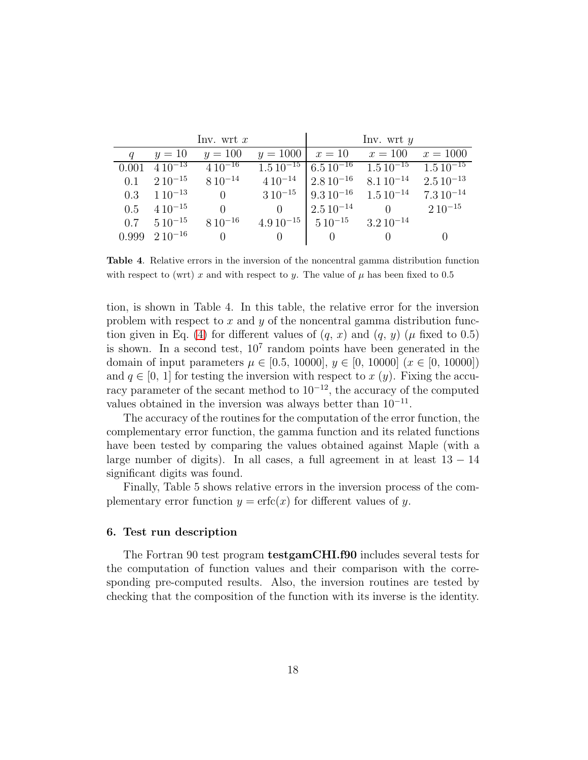|     |                         | Inv. wrt x                                        |          |                                               | Inv. wrt $y$                                                   |  |
|-----|-------------------------|---------------------------------------------------|----------|-----------------------------------------------|----------------------------------------------------------------|--|
|     | $y=10$                  | $y = 100$                                         |          |                                               | $y = 1000$   $x = 10$ $x = 100$ $x = 1000$                     |  |
|     |                         | $0.001 \overline{410^{-13}} \overline{410^{-16}}$ |          |                                               | $1.5\,10^{-15}$ 6.5 $10^{-16}$ $1.5\,10^{-15}$ $1.5\,10^{-15}$ |  |
|     |                         | 0.1 $210^{-15}$ $810^{-14}$                       |          |                                               | $4.10^{-14}$ $2.8.10^{-16}$ $8.1.10^{-14}$ $2.5.10^{-13}$      |  |
|     | $0.3 \quad 110^{-13}$   | $\begin{array}{cc} 0 & \end{array}$               |          |                                               | $3\,10^{-15}$ 9.3 $10^{-16}$ 1.5 $10^{-14}$ 7.3 $10^{-14}$     |  |
| 0.5 | $410^{-15}$             | $\Omega$                                          |          | 0   $2.5\,10^{-14}$                           | 0 2 $10^{-15}$                                                 |  |
|     |                         | $0.7 \quad 510^{-15} \quad 810^{-16}$             |          | $4.9\,10^{-15}$ $5\,10^{-15}$ $3.2\,10^{-14}$ |                                                                |  |
|     | $0.999 \quad 210^{-16}$ | $\overline{0}$                                    | $\Omega$ | $\begin{array}{ccc} & & 0 \end{array}$        | $\bigcirc$                                                     |  |

Table 4. Relative errors in the inversion of the noncentral gamma distribution function with respect to (wrt) x and with respect to y. The value of  $\mu$  has been fixed to 0.5

tion, is shown in Table 4. In this table, the relative error for the inversion problem with respect to  $x$  and  $y$  of the noncentral gamma distribution func-tion given in Eq. [\(4\)](#page-3-1) for different values of  $(q, x)$  and  $(q, y)$  ( $\mu$  fixed to 0.5) is shown. In a second test,  $10<sup>7</sup>$  random points have been generated in the domain of input parameters  $\mu \in [0.5, 10000], y \in [0, 10000]$   $(x \in [0, 10000])$ and  $q \in [0, 1]$  for testing the inversion with respect to x  $(y)$ . Fixing the accuracy parameter of the secant method to  $10^{-12}$ , the accuracy of the computed values obtained in the inversion was always better than  $10^{-11}$ .

The accuracy of the routines for the computation of the error function, the complementary error function, the gamma function and its related functions have been tested by comparing the values obtained against Maple (with a large number of digits). In all cases, a full agreement in at least  $13 - 14$ significant digits was found.

Finally, Table 5 shows relative errors in the inversion process of the complementary error function  $y = \text{erfc}(x)$  for different values of y.

#### 6. Test run description

The Fortran 90 test program testgamCHI.f90 includes several tests for the computation of function values and their comparison with the corresponding pre-computed results. Also, the inversion routines are tested by checking that the composition of the function with its inverse is the identity.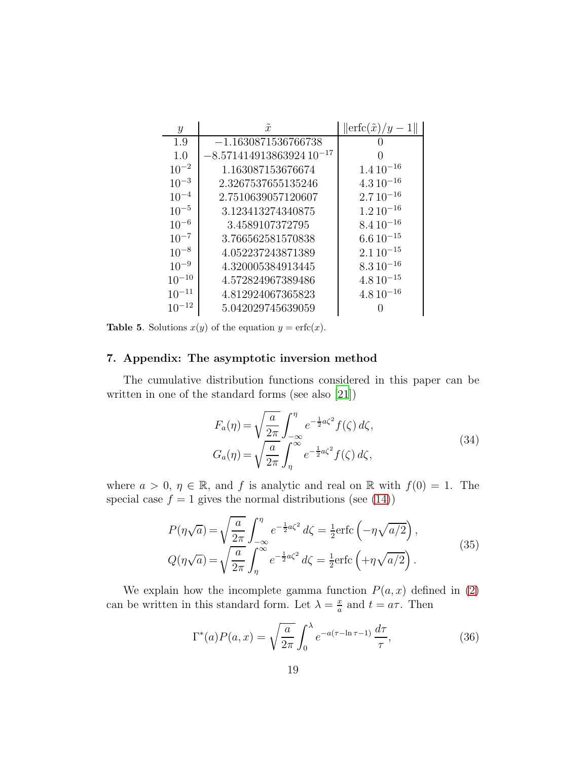| $\boldsymbol{y}$ | $\tilde{x}$                  | $\left\ \text{erfc}(\tilde{x})/y-1\right\ $ |
|------------------|------------------------------|---------------------------------------------|
| 1.9              | $-1.1630871536766738$        |                                             |
| 1.0              | $-8.57141491386392410^{-17}$ |                                             |
| $10^{-2}$        | 1.163087153676674            | $1.410^{-16}$                               |
| $10^{-3}$        | 2.3267537655135246           | $4.310^{-16}$                               |
| $10^{-4}$        | 2.7510639057120607           | $2.710^{-16}$                               |
| $10^{-5}$        | 3.123413274340875            | $1.210^{-16}$                               |
| $10^{-6}$        | 3.4589107372795              | $8.410^{-16}$                               |
| $10^{-7}$        | 3.766562581570838            | $6.610^{-15}$                               |
| $10^{-8}$        | 4.052237243871389            | $2.110^{-15}$                               |
| $10^{-9}$        | 4.320005384913445            | $8.310^{-16}$                               |
| $10^{-10}$       | 4.572824967389486            | $4.8\,10^{-15}$                             |
| $10^{-11}$       | 4.812924067365823            | $4.810^{-16}$                               |
| $10^{-12}$       | 5.042029745639059            |                                             |

**Table 5.** Solutions  $x(y)$  of the equation  $y = \text{erfc}(x)$ .

# 7. Appendix: The asymptotic inversion method

The cumulative distribution functions considered in this paper can be written in one of the standard forms (see also [\[21](#page-23-3)])

<span id="page-18-0"></span>
$$
F_a(\eta) = \sqrt{\frac{a}{2\pi}} \int_{-\infty}^{\eta} e^{-\frac{1}{2}a\zeta^2} f(\zeta) d\zeta,
$$
  
\n
$$
G_a(\eta) = \sqrt{\frac{a}{2\pi}} \int_{\eta}^{\infty} e^{-\frac{1}{2}a\zeta^2} f(\zeta) d\zeta,
$$
\n(34)

where  $a > 0$ ,  $\eta \in \mathbb{R}$ , and f is analytic and real on  $\mathbb{R}$  with  $f(0) = 1$ . The special case  $f = 1$  gives the normal distributions (see [\(14\)](#page-7-2))

<span id="page-18-1"></span>
$$
P(\eta\sqrt{a}) = \sqrt{\frac{a}{2\pi}} \int_{-\infty}^{\eta} e^{-\frac{1}{2}a\zeta^2} d\zeta = \frac{1}{2} \text{erfc}\left(-\eta\sqrt{a/2}\right),
$$
  
\n
$$
Q(\eta\sqrt{a}) = \sqrt{\frac{a}{2\pi}} \int_{\eta}^{\infty} e^{-\frac{1}{2}a\zeta^2} d\zeta = \frac{1}{2} \text{erfc}\left(+\eta\sqrt{a/2}\right).
$$
\n(35)

We explain how the incomplete gamma function  $P(a, x)$  defined in [\(2\)](#page-3-2) can be written in this standard form. Let  $\lambda = \frac{x}{a}$  $\frac{x}{a}$  and  $t = a\tau$ . Then

$$
\Gamma^*(a)P(a,x) = \sqrt{\frac{a}{2\pi}} \int_0^\lambda e^{-a(\tau - \ln \tau - 1)} \frac{d\tau}{\tau},\tag{36}
$$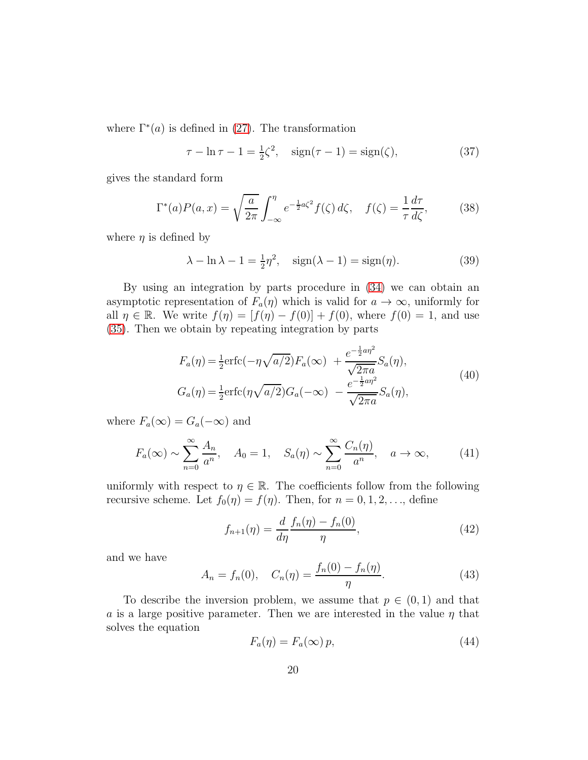where  $\Gamma^*(a)$  is defined in [\(27\)](#page-9-0). The transformation

$$
\tau - \ln \tau - 1 = \frac{1}{2}\zeta^2, \quad \text{sign}(\tau - 1) = \text{sign}(\zeta), \tag{37}
$$

gives the standard form

$$
\Gamma^*(a)P(a,x) = \sqrt{\frac{a}{2\pi}} \int_{-\infty}^{\eta} e^{-\frac{1}{2}a\zeta^2} f(\zeta) d\zeta, \quad f(\zeta) = \frac{1}{\tau} \frac{d\tau}{d\zeta},\tag{38}
$$

where  $\eta$  is defined by

$$
\lambda - \ln \lambda - 1 = \frac{1}{2}\eta^2, \quad \text{sign}(\lambda - 1) = \text{sign}(\eta). \tag{39}
$$

By using an integration by parts procedure in [\(34\)](#page-18-0) we can obtain an asymptotic representation of  $F_a(\eta)$  which is valid for  $a \to \infty$ , uniformly for all  $\eta \in \mathbb{R}$ . We write  $f(\eta) = [f(\eta) - f(0)] + f(0)$ , where  $f(0) = 1$ , and use [\(35\)](#page-18-1). Then we obtain by repeating integration by parts

<span id="page-19-0"></span>
$$
F_a(\eta) = \frac{1}{2} \text{erfc}(-\eta \sqrt{a/2}) F_a(\infty) + \frac{e^{-\frac{1}{2}a\eta^2}}{\sqrt{2\pi a}} S_a(\eta),
$$
  
\n
$$
G_a(\eta) = \frac{1}{2} \text{erfc}(\eta \sqrt{a/2}) G_a(-\infty) - \frac{e^{-\frac{1}{2}a\eta^2}}{\sqrt{2\pi a}} S_a(\eta),
$$
\n(40)

where  $F_a(\infty) = G_a(-\infty)$  and

<span id="page-19-2"></span>
$$
F_a(\infty) \sim \sum_{n=0}^{\infty} \frac{A_n}{a^n}, \quad A_0 = 1, \quad S_a(\eta) \sim \sum_{n=0}^{\infty} \frac{C_n(\eta)}{a^n}, \quad a \to \infty,
$$
 (41)

uniformly with respect to  $\eta \in \mathbb{R}$ . The coefficients follow from the following recursive scheme. Let  $f_0(\eta) = f(\eta)$ . Then, for  $n = 0, 1, 2, \ldots$ , define

$$
f_{n+1}(\eta) = \frac{d}{d\eta} \frac{f_n(\eta) - f_n(0)}{\eta},
$$
\n(42)

and we have

$$
A_n = f_n(0), \quad C_n(\eta) = \frac{f_n(0) - f_n(\eta)}{\eta}.
$$
 (43)

To describe the inversion problem, we assume that  $p \in (0,1)$  and that a is a large positive parameter. Then we are interested in the value  $\eta$  that solves the equation

<span id="page-19-1"></span>
$$
F_a(\eta) = F_a(\infty) p,\tag{44}
$$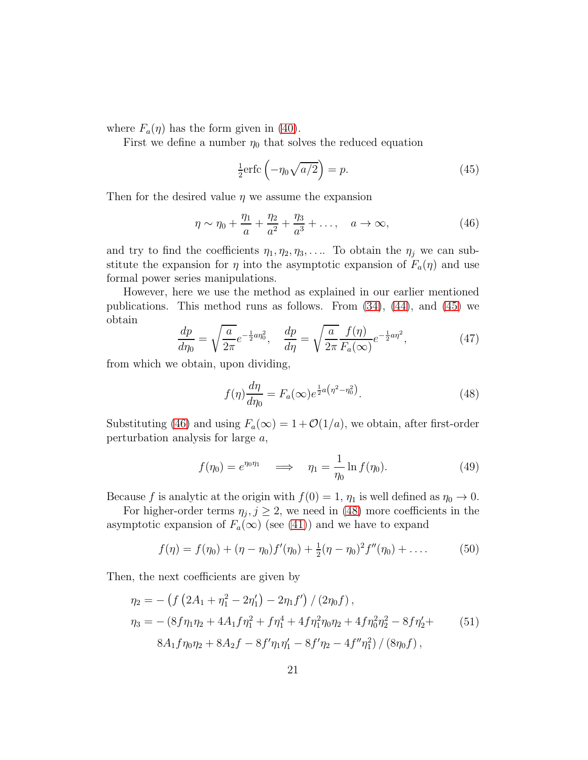where  $F_a(\eta)$  has the form given in [\(40\)](#page-19-0).

First we define a number  $\eta_0$  that solves the reduced equation

<span id="page-20-0"></span>
$$
\frac{1}{2}\text{erfc}\left(-\eta_0\sqrt{a/2}\right) = p.\tag{45}
$$

Then for the desired value  $\eta$  we assume the expansion

<span id="page-20-1"></span>
$$
\eta \sim \eta_0 + \frac{\eta_1}{a} + \frac{\eta_2}{a^2} + \frac{\eta_3}{a^3} + \dots, \quad a \to \infty,
$$
\n(46)

and try to find the coefficients  $\eta_1, \eta_2, \eta_3, \ldots$  To obtain the  $\eta_j$  we can substitute the expansion for  $\eta$  into the asymptotic expansion of  $F_a(\eta)$  and use formal power series manipulations.

However, here we use the method as explained in our earlier mentioned publications. This method runs as follows. From  $(34)$ ,  $(44)$ , and  $(45)$  we obtain

$$
\frac{dp}{d\eta_0} = \sqrt{\frac{a}{2\pi}} e^{-\frac{1}{2}a\eta_0^2}, \quad \frac{dp}{d\eta} = \sqrt{\frac{a}{2\pi}} \frac{f(\eta)}{F_a(\infty)} e^{-\frac{1}{2}a\eta^2},\tag{47}
$$

from which we obtain, upon dividing,

<span id="page-20-2"></span>
$$
f(\eta)\frac{d\eta}{d\eta_0} = F_a(\infty)e^{\frac{1}{2}a(\eta^2 - \eta_0^2)}.
$$
\n(48)

Substituting [\(46\)](#page-20-1) and using  $F_a(\infty) = 1 + \mathcal{O}(1/a)$ , we obtain, after first-order perturbation analysis for large a,

$$
f(\eta_0) = e^{\eta_0 \eta_1} \quad \Longrightarrow \quad \eta_1 = \frac{1}{\eta_0} \ln f(\eta_0). \tag{49}
$$

Because f is analytic at the origin with  $f(0) = 1$ ,  $\eta_1$  is well defined as  $\eta_0 \to 0$ .

For higher-order terms  $\eta_j, j \geq 2$ , we need in [\(48\)](#page-20-2) more coefficients in the asymptotic expansion of  $F_a(\infty)$  (see [\(41\)](#page-19-2)) and we have to expand

$$
f(\eta) = f(\eta_0) + (\eta - \eta_0) f'(\eta_0) + \frac{1}{2} (\eta - \eta_0)^2 f''(\eta_0) + \dots
$$
 (50)

Then, the next coefficients are given by

<span id="page-20-3"></span>
$$
\eta_2 = -\left(f\left(2A_1 + \eta_1^2 - 2\eta_1'\right) - 2\eta_1 f'\right) / \left(2\eta_0 f\right),
$$
  
\n
$$
\eta_3 = -\left(8f\eta_1\eta_2 + 4A_1 f\eta_1^2 + f\eta_1^4 + 4f\eta_1^2\eta_0\eta_2 + 4f\eta_0^2\eta_2^2 - 8f\eta_2' + 8A_1 f\eta_0\eta_2 + 8A_2 f - 8f'\eta_1\eta_1' - 8f'\eta_2 - 4f''\eta_1^2\right) / \left(8\eta_0 f\right),
$$
  
\n(51)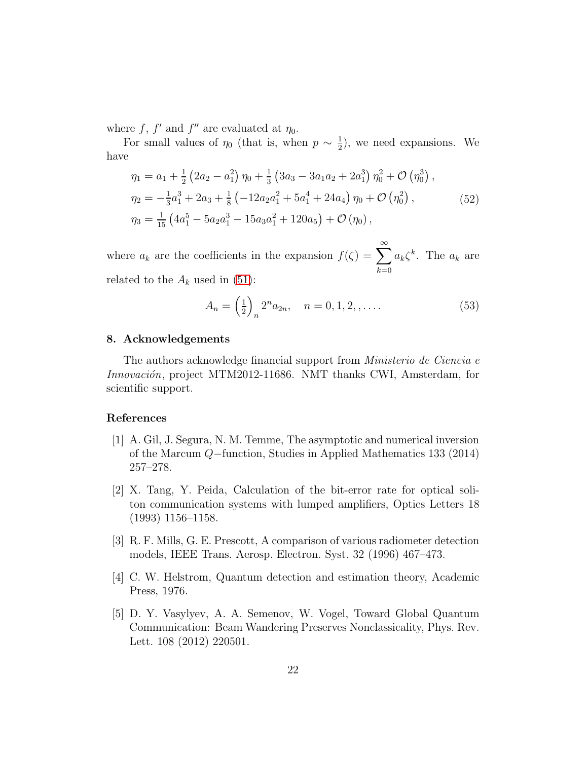where f, f' and f'' are evaluated at  $\eta_0$ .

For small values of  $\eta_0$  (that is, when  $p \sim \frac{1}{2}$  $(\frac{1}{2})$ , we need expansions. We have

$$
\eta_1 = a_1 + \frac{1}{2} \left( 2a_2 - a_1^2 \right) \eta_0 + \frac{1}{3} \left( 3a_3 - 3a_1a_2 + 2a_1^3 \right) \eta_0^2 + \mathcal{O} \left( \eta_0^3 \right),
$$
  
\n
$$
\eta_2 = -\frac{1}{3} a_1^3 + 2a_3 + \frac{1}{8} \left( -12a_2 a_1^2 + 5a_1^4 + 24a_4 \right) \eta_0 + \mathcal{O} \left( \eta_0^2 \right),
$$
  
\n
$$
\eta_3 = \frac{1}{15} \left( 4a_1^5 - 5a_2 a_1^3 - 15a_3 a_1^2 + 120a_5 \right) + \mathcal{O} \left( \eta_0 \right),
$$
  
\n(52)

where  $a_k$  are the coefficients in the expansion  $f(\zeta) = \sum_{k=1}^{\infty}$  $_{k=0}$  $a_k \zeta^k$ . The  $a_k$  are related to the  $A_k$  used in [\(51\)](#page-20-3):

$$
A_n = \left(\frac{1}{2}\right)_n 2^n a_{2n}, \quad n = 0, 1, 2, \dots \tag{53}
$$

#### 8. Acknowledgements

The authors acknowledge financial support from Ministerio de Ciencia e Innovación, project MTM2012-11686. NMT thanks CWI, Amsterdam, for scientific support.

#### References

- <span id="page-21-0"></span>[1] A. Gil, J. Segura, N. M. Temme, The asymptotic and numerical inversion of the Marcum Q−function, Studies in Applied Mathematics 133 (2014) 257–278.
- <span id="page-21-1"></span>[2] X. Tang, Y. Peida, Calculation of the bit-error rate for optical soliton communication systems with lumped amplifiers, Optics Letters 18 (1993) 1156–1158.
- <span id="page-21-2"></span>[3] R. F. Mills, G. E. Prescott, A comparison of various radiometer detection models, IEEE Trans. Aerosp. Electron. Syst. 32 (1996) 467–473.
- <span id="page-21-3"></span>[4] C. W. Helstrom, Quantum detection and estimation theory, Academic Press, 1976.
- <span id="page-21-4"></span>[5] D. Y. Vasylyev, A. A. Semenov, W. Vogel, Toward Global Quantum Communication: Beam Wandering Preserves Nonclassicality, Phys. Rev. Lett. 108 (2012) 220501.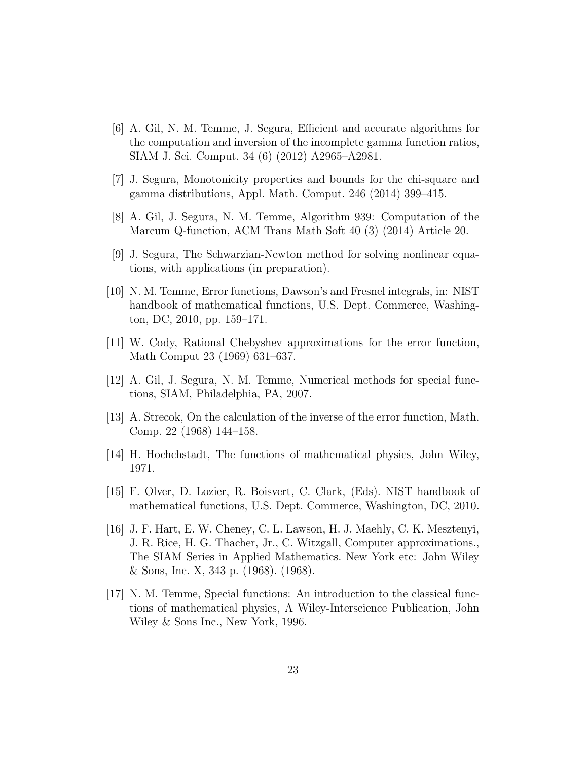- <span id="page-22-0"></span>[6] A. Gil, N. M. Temme, J. Segura, Efficient and accurate algorithms for the computation and inversion of the incomplete gamma function ratios, SIAM J. Sci. Comput. 34 (6) (2012) A2965–A2981.
- <span id="page-22-1"></span>[7] J. Segura, Monotonicity properties and bounds for the chi-square and gamma distributions, Appl. Math. Comput. 246 (2014) 399–415.
- <span id="page-22-2"></span>[8] A. Gil, J. Segura, N. M. Temme, Algorithm 939: Computation of the Marcum Q-function, ACM Trans Math Soft 40 (3) (2014) Article 20.
- <span id="page-22-3"></span>[9] J. Segura, The Schwarzian-Newton method for solving nonlinear equations, with applications (in preparation).
- <span id="page-22-4"></span>[10] N. M. Temme, Error functions, Dawson's and Fresnel integrals, in: NIST handbook of mathematical functions, U.S. Dept. Commerce, Washington, DC, 2010, pp. 159–171.
- <span id="page-22-5"></span>[11] W. Cody, Rational Chebyshev approximations for the error function, Math Comput 23 (1969) 631–637.
- <span id="page-22-6"></span>[12] A. Gil, J. Segura, N. M. Temme, Numerical methods for special functions, SIAM, Philadelphia, PA, 2007.
- <span id="page-22-7"></span>[13] A. Strecok, On the calculation of the inverse of the error function, Math. Comp. 22 (1968) 144–158.
- <span id="page-22-8"></span>[14] H. Hochchstadt, The functions of mathematical physics, John Wiley, 1971.
- <span id="page-22-9"></span>[15] F. Olver, D. Lozier, R. Boisvert, C. Clark, (Eds). NIST handbook of mathematical functions, U.S. Dept. Commerce, Washington, DC, 2010.
- <span id="page-22-10"></span>[16] J. F. Hart, E. W. Cheney, C. L. Lawson, H. J. Maehly, C. K. Mesztenyi, J. R. Rice, H. G. Thacher, Jr., C. Witzgall, Computer approximations., The SIAM Series in Applied Mathematics. New York etc: John Wiley & Sons, Inc. X, 343 p. (1968). (1968).
- <span id="page-22-11"></span>[17] N. M. Temme, Special functions: An introduction to the classical functions of mathematical physics, A Wiley-Interscience Publication, John Wiley & Sons Inc., New York, 1996.